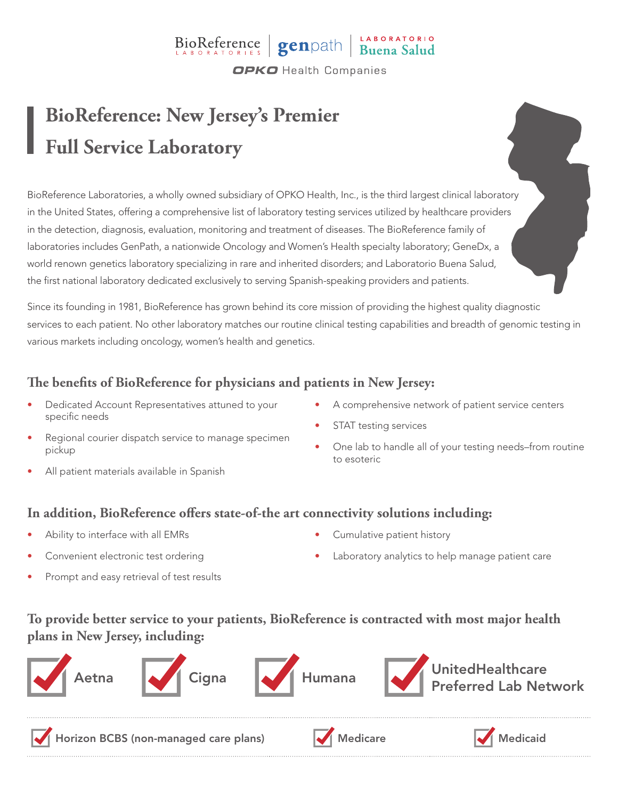# BioReference genpath Buena Salud

**OPKO** Health Companies

## **BioReference: New Jersey's Premier Full Service Laboratory**

BioReference Laboratories, a wholly owned subsidiary of OPKO Health, Inc., is the third largest clinical laboratory in the United States, offering a comprehensive list of laboratory testing services utilized by healthcare providers in the detection, diagnosis, evaluation, monitoring and treatment of diseases. The BioReference family of laboratories includes GenPath, a nationwide Oncology and Women's Health specialty laboratory; GeneDx, a world renown genetics laboratory specializing in rare and inherited disorders; and Laboratorio Buena Salud, the first national laboratory dedicated exclusively to serving Spanish-speaking providers and patients.

Since its founding in 1981, BioReference has grown behind its core mission of providing the highest quality diagnostic services to each patient. No other laboratory matches our routine clinical testing capabilities and breadth of genomic testing in various markets including oncology, women's health and genetics.

### **The benefits of BioReference for physicians and patients in New Jersey:**

- Dedicated Account Representatives attuned to your specific needs
- Regional courier dispatch service to manage specimen pickup
- All patient materials available in Spanish
- A comprehensive network of patient service centers
- STAT testing services
- One lab to handle all of your testing needs–from routine to esoteric

#### **In addition, BioReference offers state-of-the art connectivity solutions including:**

- Ability to interface with all EMRs
- Convenient electronic test ordering
- Prompt and easy retrieval of test results
- Cumulative patient history
- Laboratory analytics to help manage patient care

### **To provide better service to your patients, BioReference is contracted with most major health plans in New Jersey, including:**